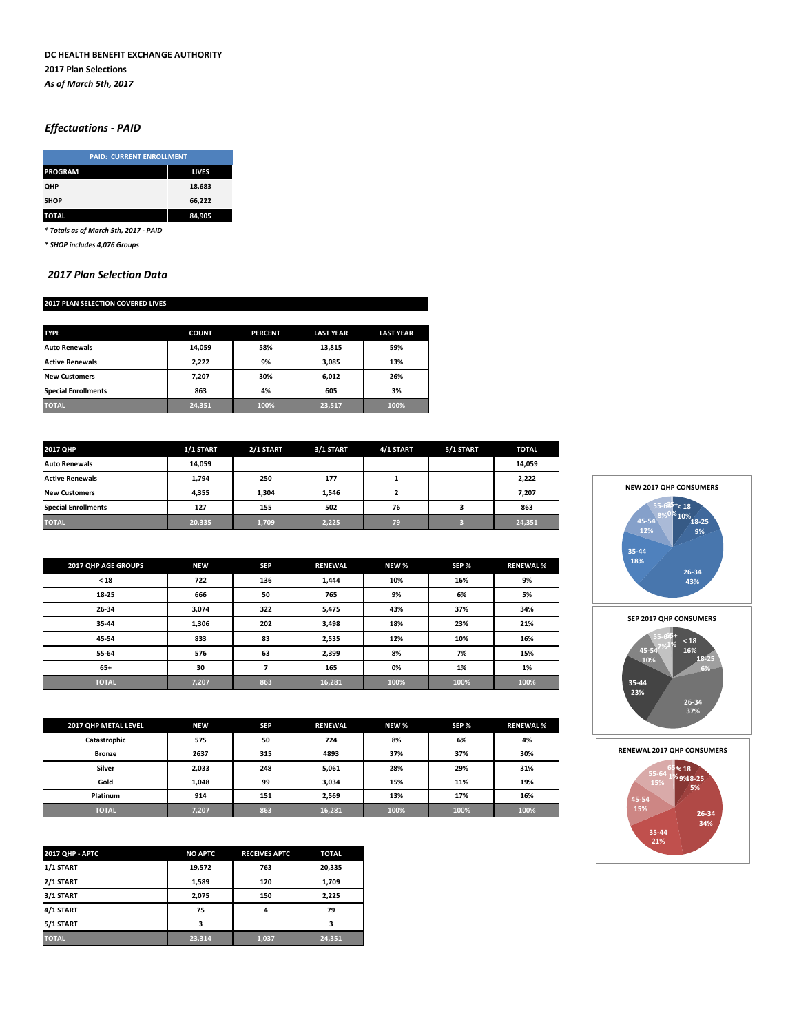### **DC HEALTH BENEFIT EXCHANGE AUTHORITY 2017 Plan Selections** *As of March 5th, 2017*

# *Effectuations - PAID*

|                | <b>PAID: CURRENT ENROLLMENT</b> |  |  |  |
|----------------|---------------------------------|--|--|--|
| <b>PROGRAM</b> | <b>LIVES</b>                    |  |  |  |
| QHP            | 18,683                          |  |  |  |
| <b>SHOP</b>    | 66,222                          |  |  |  |
| <b>TOTAL</b>   | 84.905                          |  |  |  |

*\* Totals as of March 5th, 2017 - PAID*

*\* SHOP includes 4,076 Groups*

#### *2017 Plan Selection Data*

# **2017 PLAN SELECTION COVERED LIVES**

| <b>TYPE</b>                | <b>COUNT</b> | <b>PERCENT</b> | <b>LAST YEAR</b> | <b>LAST YEAR</b> |
|----------------------------|--------------|----------------|------------------|------------------|
| <b>Auto Renewals</b>       | 14,059       | 58%            | 13,815           | 59%              |
| <b>Active Renewals</b>     | 2.222        | 9%             | 3,085            | 13%              |
| <b>New Customers</b>       | 7.207        | 30%            | 6,012            | 26%              |
| <b>Special Enrollments</b> | 863          | 4%             | 605              | 3%               |
| <b>TOTAL</b>               | 24,351       | 100%           | 23,517           | 100%             |

| 2017 OHP                   | 1/1 START | 2/1 START | 3/1 START | 4/1 START | 5/1 START | <b>TOTAL</b> |
|----------------------------|-----------|-----------|-----------|-----------|-----------|--------------|
| <b>Auto Renewals</b>       | 14,059    |           |           |           |           | 14,059       |
| <b>Active Renewals</b>     | 1.794     | 250       | 177       |           |           | 2,222        |
| <b>New Customers</b>       | 4,355     | 1,304     | 1,546     |           |           | 7,207        |
| <b>Special Enrollments</b> | 127       | 155       | 502       | 76        |           | 863          |
| <b>TOTAL</b>               | 20,335    | 1,709     | 2,225     | 79        |           | 24,351       |

| 2017 QHP AGE GROUPS | <b>NEW</b> | <b>SEP</b> | <b>RENEWAL</b> | NEW % | SEP % | <b>RENEWAL %</b> |
|---------------------|------------|------------|----------------|-------|-------|------------------|
| < 18                | 722        | 136        | 1,444          | 10%   | 16%   | 9%               |
| 18-25               | 666        | 50         | 765            | 9%    | 6%    | 5%               |
| 26-34               | 3,074      | 322        | 5,475          | 43%   | 37%   | 34%              |
| 35-44               | 1,306      | 202        | 3,498          | 18%   | 23%   | 21%              |
| 45-54               | 833        | 83         | 2,535          | 12%   | 10%   | 16%              |
| 55-64               | 576        | 63         | 2,399          | 8%    | 7%    | 15%              |
| $65+$               | 30         | ∍          | 165            | 0%    | 1%    | 1%               |
| <b>TOTAL</b>        | 7,207      | 863        | 16,281         | 100%  | 100%  | 100%             |

| 2017 QHP METAL LEVEL | <b>NEW</b> | <b>SEP</b> | <b>RENEWAL</b> | NEW % | SEP % | <b>RENEWAL %</b> |
|----------------------|------------|------------|----------------|-------|-------|------------------|
| Catastrophic         | 575        | 50         | 724            | 8%    | 6%    | 4%               |
| <b>Bronze</b>        | 2637       | 315        | 4893           | 37%   | 37%   | 30%              |
| Silver               | 2,033      | 248        | 5,061          | 28%   | 29%   | 31%              |
| Gold                 | 1,048      | 99         | 3,034          | 15%   | 11%   | 19%              |
| Platinum             | 914        | 151        | 2,569          | 13%   | 17%   | 16%              |
| <b>TOTAL</b>         | 7,207      | 863        | 16,281         | 100%  | 100%  | 100%             |

| 2017 QHP - APTC | <b>NO APTC</b> | <b>RECEIVES APTC</b> | <b>TOTAL</b> |
|-----------------|----------------|----------------------|--------------|
| 1/1 START       | 19,572         | 763                  | 20,335       |
| 2/1 START       | 1.589          | 120                  | 1,709        |
| 3/1 START       | 2.075          | 150                  | 2.225        |
| 4/1 START       | 75             | 4                    | 79           |
| 5/1 START       |                |                      | з            |
| <b>TOTAL</b>    | 23,314         | 1,037                | 24,351       |



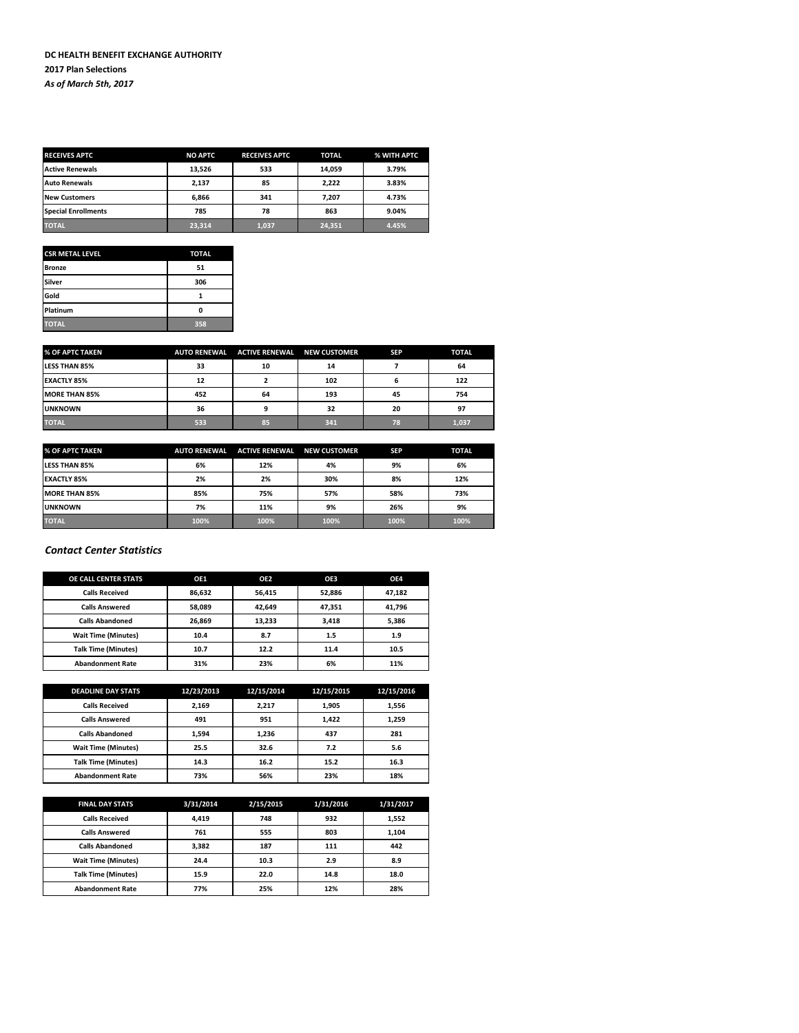| <b>RECEIVES APTC</b>       | <b>NO APTC</b> | <b>RECEIVES APTC</b> | <b>TOTAL</b> | % WITH APTC |
|----------------------------|----------------|----------------------|--------------|-------------|
| <b>Active Renewals</b>     | 13.526         | 533                  | 14,059       | 3.79%       |
| <b>Auto Renewals</b>       | 2,137          | 85                   | 2,222        | 3.83%       |
| <b>New Customers</b>       | 6,866          | 341                  | 7,207        | 4.73%       |
| <b>Special Enrollments</b> | 785            | 78                   | 863          | 9.04%       |
| <b>TOTAL</b>               | 23,314         | 1,037                | 24,351       | 4.45%       |

| <b>CSR METAL LEVEL</b> | <b>TOTAL</b> |
|------------------------|--------------|
| <b>Bronze</b>          | 51           |
| <b>Silver</b>          | 306          |
| Gold                   |              |
| Platinum               | O            |
| <b>TOTAL</b>           | 358          |

| % OF APTC TAKEN      | <b>AUTO RENEWAL</b> | <b>ACTIVE RENEWAL NEW CUSTOMER</b> |     | <b>SEP</b> | <b>TOTAL</b> |
|----------------------|---------------------|------------------------------------|-----|------------|--------------|
| <b>LESS THAN 85%</b> | 33                  | 10                                 | 14  |            | 64           |
| <b>EXACTLY 85%</b>   | 12                  |                                    | 102 | n          | 122          |
| MORE THAN 85%        | 452                 | 64                                 | 193 | 45         | 754          |
| <b>UNKNOWN</b>       | 36                  |                                    | 32  | 20         | 97           |
| <b>TOTAL</b>         | 533                 | 85                                 | 341 | 78         | 1,037        |

| % OF APTC TAKEN      | <b>AUTO RENEWAL</b> | <b>ACTIVE RENEWAL</b> | <b>NEW CUSTOMER</b> | <b>SEP</b> | <b>TOTAL</b> |
|----------------------|---------------------|-----------------------|---------------------|------------|--------------|
| <b>LESS THAN 85%</b> | 6%                  | 12%                   | 4%                  | 9%         | 6%           |
| <b>EXACTLY 85%</b>   | 2%                  | 2%                    | 30%                 | 8%         | 12%          |
| MORE THAN 85%        | 85%                 | 75%                   | 57%                 | 58%        | 73%          |
| <b>UNKNOWN</b>       | 7%                  | 11%                   | 9%                  | 26%        | 9%           |
| <b>TOTAL</b>         | 100%                | 100%                  | 100%                | 100%       | 100%         |

# *Contact Center Statistics*

| <b>OE CALL CENTER STATS</b> | OE1    | OE <sub>2</sub> | OE3    | OE4    |
|-----------------------------|--------|-----------------|--------|--------|
| <b>Calls Received</b>       | 86,632 | 56.415          | 52,886 | 47,182 |
| <b>Calls Answered</b>       | 58.089 | 42.649          | 47,351 | 41,796 |
| <b>Calls Abandoned</b>      | 26,869 | 13.233          | 3,418  | 5,386  |
| <b>Wait Time (Minutes)</b>  | 10.4   | 8.7             | 1.5    | 1.9    |
| <b>Talk Time (Minutes)</b>  | 10.7   | 12.2            | 11.4   | 10.5   |
| <b>Abandonment Rate</b>     | 31%    | 23%             | 6%     | 11%    |

| <b>DEADLINE DAY STATS</b>  | 12/23/2013 | 12/15/2014 | 12/15/2015 | 12/15/2016 |
|----------------------------|------------|------------|------------|------------|
| <b>Calls Received</b>      | 2,169      | 2,217      | 1.905      | 1,556      |
| <b>Calls Answered</b>      | 491        | 951        | 1,422      | 1,259      |
| <b>Calls Abandoned</b>     | 1.594      | 1,236      | 437        | 281        |
| <b>Wait Time (Minutes)</b> | 25.5       | 32.6       | 7.2        | 5.6        |
| <b>Talk Time (Minutes)</b> | 14.3       | 16.2       | 15.2       | 16.3       |
| <b>Abandonment Rate</b>    | 73%        | 56%        | 23%        | 18%        |

| <b>FINAL DAY STATS</b>     | 3/31/2014 | 2/15/2015 | 1/31/2016 | 1/31/2017 |
|----------------------------|-----------|-----------|-----------|-----------|
| <b>Calls Received</b>      | 4.419     | 748       | 932       | 1.552     |
| <b>Calls Answered</b>      | 761       | 555       | 803       | 1.104     |
| <b>Calls Abandoned</b>     | 3.382     | 187       | 111       | 442       |
| <b>Wait Time (Minutes)</b> | 24.4      | 10.3      | 2.9       | 8.9       |
| <b>Talk Time (Minutes)</b> | 15.9      | 22.0      | 14.8      | 18.0      |
| <b>Abandonment Rate</b>    | 77%       | 25%       | 12%       | 28%       |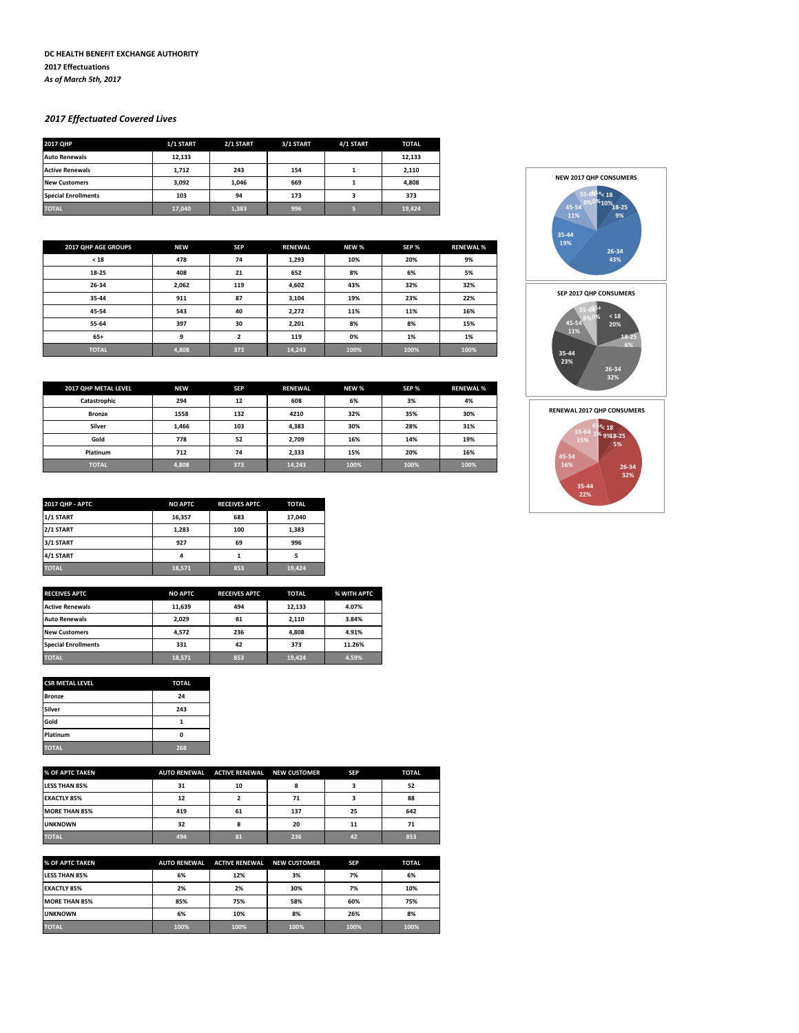#### **DC HEALTH BENEFIT EXCHANGE AUTHORITY 2017 Effectuations** *As of March 5th, 2017*

# *2017 Effectuated Covered Lives*

| 2017 OHP                   | 1/1 START | 2/1 START | 3/1 START | 4/1 START | <b>TOTAL</b> |
|----------------------------|-----------|-----------|-----------|-----------|--------------|
| <b>Auto Renewals</b>       | 12.133    |           |           |           | 12,133       |
| <b>Active Renewals</b>     | 1.712     | 243       | 154       |           | 2,110        |
| <b>New Customers</b>       | 3.092     | 1.046     | 669       |           | 4,808        |
| <b>Special Enrollments</b> | 103       | 94        | 173       |           | 373          |
| <b>TOTAL</b>               | 17,040    | 1,383     | 996       |           | 19,424       |

| 2017 QHP AGE GROUPS | <b>NEW</b> | <b>SEP</b>     | <b>RENEWAL</b> | NEW % | SEP % | <b>RENEWAL %</b> |
|---------------------|------------|----------------|----------------|-------|-------|------------------|
| < 18                | 478        | 74             | 1,293          | 10%   | 20%   | 9%               |
| 18-25               | 408        | 21             | 652            | 8%    | 6%    | 5%               |
| 26-34               | 2,062      | 119            | 4,602          | 43%   | 32%   | 32%              |
| 35-44               | 911        | 87             | 3,104          | 19%   | 23%   | 22%              |
| 45-54               | 543        | 40             | 2,272          | 11%   | 11%   | 16%              |
| 55-64               | 397        | 30             | 2,201          | 8%    | 8%    | 15%              |
| $65+$               | 9          | $\overline{2}$ | 119            | 0%    | 1%    | 1%               |
| <b>TOTAL</b>        | 4,808      | 373            | 14,243         | 100%  | 100%  | 100%             |

| 2017 QHP METAL LEVEL | <b>NEW</b> | <b>SEP</b> | <b>RENEWAL</b> | NEW % | SEP % | <b>RENEWAL%</b> |
|----------------------|------------|------------|----------------|-------|-------|-----------------|
| Catastrophic         | 294        | 12         | 608            | 6%    | 3%    | 4%              |
| <b>Bronze</b>        | 1558       | 132        | 4210           | 32%   | 35%   | 30%             |
| Silver               | 1,466      | 103        | 4,383          | 30%   | 28%   | 31%             |
| Gold                 | 778        | 52         | 2,709          | 16%   | 14%   | 19%             |
| Platinum             | 712        | 74         | 2,333          | 15%   | 20%   | 16%             |
| <b>TOTAL</b>         | 4,808      | 373        | 14,243         | 100%  | 100%  | 100%            |

| <b>2017 QHP - APTC</b> | <b>NO APTC</b> | <b>RECEIVES APTC</b> | <b>TOTAL</b> |
|------------------------|----------------|----------------------|--------------|
| 1/1 START              | 16,357         | 683                  | 17.040       |
| 2/1 START              | 1,283          | 100                  | 1.383        |
| 3/1 START              | 927            | 69                   | 996          |
| 4/1 START              | 4              |                      |              |
| <b>TOTAL</b>           | 18,571         | 853                  | 19,424       |

| <b>RECEIVES APTC</b>       | <b>NO APTC</b> | <b>RECEIVES APTC</b> | <b>TOTAL</b> | % WITH APTC |
|----------------------------|----------------|----------------------|--------------|-------------|
| <b>Active Renewals</b>     | 11,639         | 494                  | 12,133       | 4.07%       |
| <b>Auto Renewals</b>       | 2.029          | 81                   | 2.110        | 3.84%       |
| <b>New Customers</b>       | 4.572          | 236                  | 4.808        | 4.91%       |
| <b>Special Enrollments</b> | 331            | 42                   | 373          | 11.26%      |
| <b>TOTAL</b>               | 18,571         | 853                  | 19,424       | 4.59%       |

| <b>CSR METAL LEVEL</b> | <b>TOTAL</b> |
|------------------------|--------------|
| <b>Bronze</b>          | 24           |
| Silver                 | 243          |
| Gold                   |              |
| Platinum               | n            |
| <b>TOTAL</b>           | 268          |

| % OF APTC TAKEN      | <b>AUTO RENEWAL</b> | <b>ACTIVE RENEWAL</b> | <b>NEW CUSTOMER</b> | <b>SEP</b> | <b>TOTAL</b> |
|----------------------|---------------------|-----------------------|---------------------|------------|--------------|
| <b>LESS THAN 85%</b> | 31                  | 10                    |                     |            | 52           |
| <b>EXACTLY 85%</b>   | 12                  |                       | 71                  |            | 88           |
| <b>MORE THAN 85%</b> | 419                 | 61                    | 137                 | 25         | 642          |
| <b>UNKNOWN</b>       | 32                  |                       | 20                  | 11         | 71           |
| <b>TOTAL</b>         | 494                 | 81                    | 236                 | 42         | 853          |

| % OF APTC TAKEN      | <b>AUTO RENEWAL</b> | <b>ACTIVE RENEWAL</b> | <b>NEW CUSTOMER</b> | <b>SEP</b> | <b>TOTAL</b> |
|----------------------|---------------------|-----------------------|---------------------|------------|--------------|
| <b>LESS THAN 85%</b> | 6%                  | 12%                   | 3%                  | 7%         | 6%           |
| <b>EXACTLY 85%</b>   | 2%                  | 2%                    | 30%                 | 7%         | 10%          |
| <b>MORE THAN 85%</b> | 85%                 | 75%                   | 58%                 | 60%        | 75%          |
| <b>UNKNOWN</b>       | 6%                  | 10%                   | 8%                  | 26%        | 8%           |
| <b>TOTAL</b>         | 100%                | 100%                  | 100%                | 100%       | 100%         |